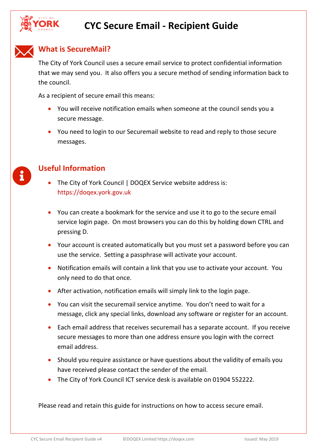



 $\mathbf{1}$ 

## **What is SecureMail?**

The City of York Council uses a secure email service to protect confidential information that we may send you. It also offers you a secure method of sending information back to the council.

As a recipient of secure email this means:

- You will receive notification emails when someone at the council sends you a secure message.
- You need to login to our Securemail website to read and reply to those secure messages.

### **Useful Information**

- The City of York Council | DOQEX Service website address is: [https://doqex.york.gov.uk](https://doqex.york.gov.uk/)
- You can create a bookmark for the service and use it to go to the secure email service login page. On most browsers you can do this by holding down CTRL and pressing D.
- Your account is created automatically but you must set a password before you can use the service. Setting a passphrase will activate your account.
- Notification emails will contain a link that you use to activate your account. You only need to do that once.
- After activation, notification emails will simply link to the login page.
- You can visit the securemail service anytime. You don't need to wait for a message, click any special links, download any software or register for an account.
- Each email address that receives securemail has a separate account. If you receive secure messages to more than one address ensure you login with the correct email address.
- Should you require assistance or have questions about the validity of emails you have received please contact the sender of the email.
- The City of York Council ICT service desk is available on 01904 552222.

Please read and retain this guide for instructions on how to access secure email.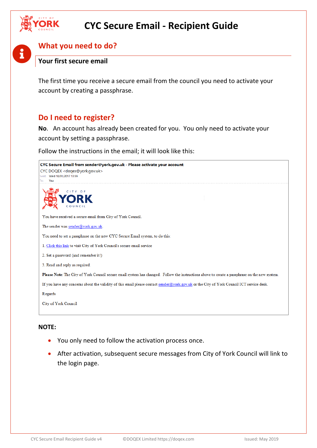

## **What you need to do?**

### **Your first secure email**

The first time you receive a secure email from the council you need to activate your account by creating a passphrase.

## **Do I need to register?**

**No**. An account has already been created for you. You only need to activate your account by setting a passphrase.

Follow the instructions in the email; it will look like this:



#### **NOTE:**

- You only need to follow the activation process once.
- After activation, subsequent secure messages from City of York Council will link to the login page.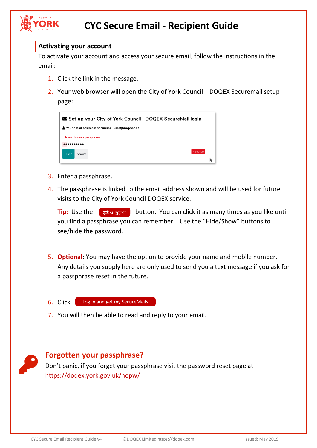

#### **Activating your account**

To activate your account and access your secure email, follow the instructions in the email:

- 1. Click the link in the message.
- 2. Your web browser will open the City of York Council | DOQEX Securemail setup page:

| Set up your City of York Council   DOQEX SecureMail login |           |  |
|-----------------------------------------------------------|-----------|--|
| Securemail address: securemailuser@dogex.net              |           |  |
| Please choose a passphrase                                |           |  |
|                                                           |           |  |
| Hide<br>Show                                              | X suggest |  |
|                                                           |           |  |

- 3. Enter a passphrase.
- 4. The passphrase is linked to the email address shown and will be used for future visits to the City of York Council DOQEX service.

**Tip:** Use the  $\left\{\right. \rightleftharpoons \left\{\right. \right.}$  button. You can click it as many times as you like until you find a passphrase you can remember. Use the "Hide/Show" buttons to see/hide the password.

- 5. **Optional**: You may have the option to provide your name and mobile number. Any details you supply here are only used to send you a text message if you ask for a passphrase reset in the future.
- 6. Click

Log in and get my SecureMails

7. You will then be able to read and reply to your email.

### **Forgotten your passphrase?**

Don't panic, if you forget your passphrase visit the password reset page at <https://doqex.york.gov.uk/nopw/>